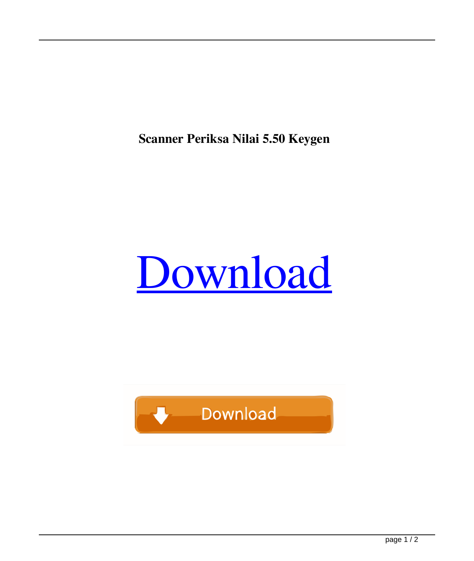**Scanner Periksa Nilai 5.50 Keygen**